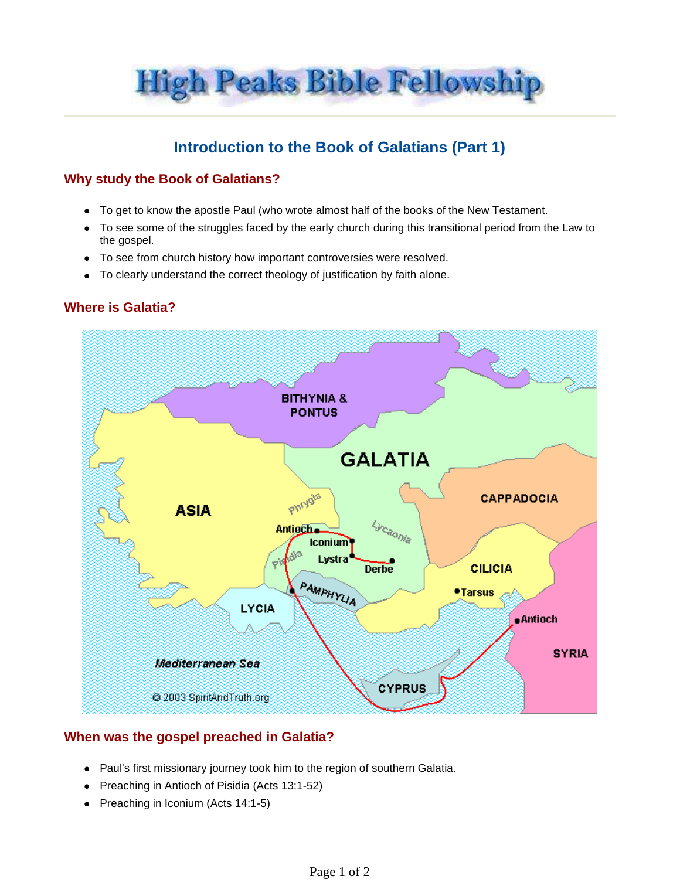**High Peaks Bible Fellowship** 

# **Introduction to the Book of Galatians (Part 1)**

## **Why study the Book of Galatians?**

- To get to know the apostle Paul (who wrote almost half of the books of the New Testament.
- To see some of the struggles faced by the early church during this transitional period from the Law to the gospel.
- To see from church history how important controversies were resolved.
- To clearly understand the correct theology of justification by faith alone.

#### **Where is Galatia?**



## **When was the gospel preached in Galatia?**

- Paul's first missionary journey took him to the region of southern Galatia.
- Preaching in Antioch of Pisidia (Acts 13:1-52)
- $\bullet$  Preaching in Iconium (Acts 14:1-5)